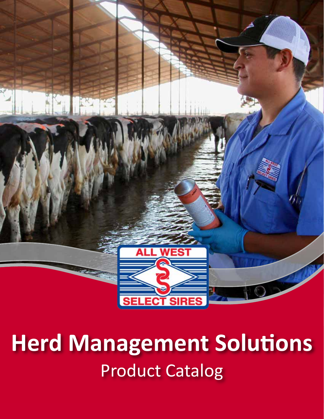

### **Herd Management Solutions**  Product Catalog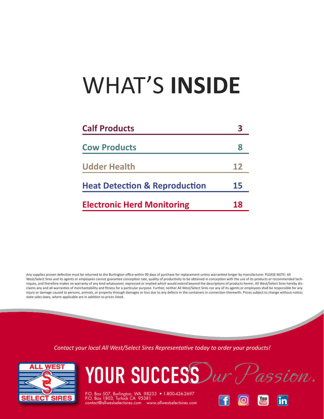## WHAT'S **INSIDE**

| <b>Calf Products</b>                     |    |
|------------------------------------------|----|
| <b>Cow Products</b>                      | 8  |
| <b>Udder Health</b>                      | 12 |
| <b>Heat Detection &amp; Reproduction</b> | 15 |
| <b>Electronic Herd Monitoring</b>        | 18 |

Any supplies proven defective must be returned to the Burlington office within 90 days of purchase for replacement unless warrantied longer by manufacturer. PLEASE NOTE: All West/Select Sires and its agents or employees cannot guarantee conception rate, quality of productivity to be obtained in conception with the use of its products or recommended techniques, and therefore makes no warranty of any kind whatsoever, expressed or implied which would extend beyond the descriptions of products herein. All West/Select Sires hereby disclaims any and all warranties of merchantability and fitness for a particular purpose. Further, neither All West/Select Sires nor any of its agents or employees shall be responsible for any injury or damage caused to persons, animals, or property through damages or loss due to any defects in the containers in connection therewith. Prices subject to change without notice; state sales taxes, where applicable are in addition to prices listed.

*Contact your local All West/Select Sires Representative today to order your products!* 



YOUR SUCCESS Dur Passion.

P.O. Box 507, Burlington, WA 98233 • 1-800-426-2697  $\text{contact@allowes}$  contact@allwestselectsires.com ww

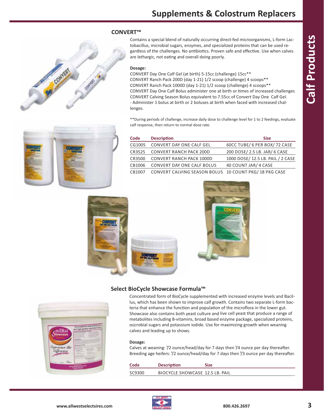# COMMERT

#### **CONVERT™**

Contains a special blend of naturally occurring direct-fed microorganisms, L-form Lactobacillus, microbial sugars, enzymes, and specialized proteins that can be used regardless of the challenges. No antibiotics. Proven safe and effective. Use when calves are lethargic, not eating and overall doing poorly.

#### **Dosage:**

CONVERT Day One Calf Gel (at birth) 515cc (challenge) 15cc\*\* CONVERT Ranch Pack 200D (day 121) 1/2 scoop (challenge) 4 scoops\*\* CONVERT Ranch Pack 1000D (day 121) 1/2 scoop (challenge) 4 scoops\*\* CONVERT Day One Calf Bolus administer one at birth or times of increased challenges CONVERT Calving Season Bolus equivalent to 7.55cc of Convert Day One Calf Gel. Administer 1 bolus at birth or 2 boluses at birth when faced with increased challenges.

\*\*During periods of challenge, increase daily dose to challenge level for 1 to 2 feedings, evaluate calf response, then return to normal dose rate.

| Code   | <b>Description</b>                                    | <b>Size</b>                       |
|--------|-------------------------------------------------------|-----------------------------------|
| CG1005 | CONVERT DAY ONE CALF GEL                              | 60CC TUBE/ 6 PER BOX/ 72 CASE     |
| CR3525 | <b>CONVERT RANCH PACK 200D</b>                        | 200 DOSE/ 2.5 LB. JAR/ 6 CASE     |
| CR3500 | <b>CONVERT RANCH PACK 1000D</b>                       | 1000 DOSE/ 12.5 LB. PAIL / 2 CASE |
| CB1006 | <b>CONVERT DAY ONE CALF BOLUS</b>                     | 40 COUNT JAR/ 4 CASE              |
| CB1007 | CONVERT CALVING SEASON BOLUS 10 COUNT PKG/18 PKG CASE |                                   |







#### **Select BioCycle Showcase Formula™**

Concentrated form of BioCycle supplemented with increased enzyme levels and Bacillus, which has been shown to improve calf growth. Contains two separate L-form bacteria that enhance the function and population of the microflora in the lower gut. Showcase also contains both yeast culture and live cell yeast that produce a range of metabolites including B-vitamins, broad based enzyme package, specialized proteins, microbial sugars and potassium iodide. Use for maximizing growth when weaning calves and leading up to shows.

#### **Dosage:**

Calves at weaning:  $\frac{1}{2}$  ounce/head/day for 7 days then  $\frac{1}{4}$  ounce per day thereafter. Breeding age heifers:  $\frac{1}{2}$  ounce/head/day for 7 days then  $\frac{1}{3}$  ounce per day thereafter.

| Code   | <b>Description</b>              | Size |
|--------|---------------------------------|------|
| SC9300 | BIOCYCLE SHOWCASE 12.5 LB. PAIL |      |



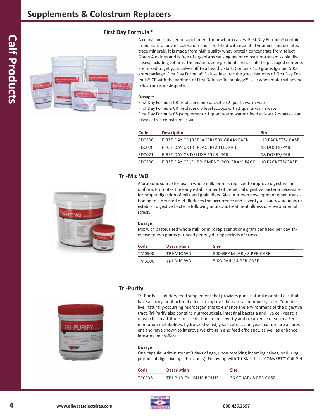

A colostrum replacer or supplement for newborn calves. First Day Formula® contains dried, natural bovine colostrum and is fortified with essential vitamins and chelated trace minerals. It is made from high quality whey protein concentrate from select Grade A dairies and is free of organisms causing major colostrum-transmissible diseases, including Johne's. The instantized ingredients ensure all the packaged contents are mixed to get your calves off to a healthy start. Contains 150 grams IgG per 500 gram package. First Day Formula® Deluxe features the great benefits of First Day Formula® CR with the addition of First Defense Technology™. Use when maternal bovine colostrum is inadequate.

#### **Dosage**:

**First Day Formula®**

First Day Formula CR (replacer): one packet to 2 quarts warm water. First Day Formula CR (replacer): 3 level scoops with 2 quarts warm water. First Day Formula CS (supplement): 1 quart warm water / feed at least 2 quarts clean, disease-free colostrum as well.

| Code   | <b>Description</b>                      | <b>Size</b>            |
|--------|-----------------------------------------|------------------------|
| FD0500 | FIRST DAY CR (REPLACER) 500-GRAM PACK   | 10 PACKETS/ CASE       |
| FD0020 | FIRST DAY CR (REPLACER) 20 LB. PAIL     | 18 DOSES/PAIL          |
| FD0021 | FIRST DAY CR DELUXE 20 LB. PAIL         | 18 DOSES/PAIL          |
| FD0200 | FIRST DAY CS (SUPPLEMENT) 200-GRAM PACK | <b>10 PACKETS/CASE</b> |

#### **Tri-Mic WD**



A probiotic source for use in whole milk, or milk replacer to improve digestive microflora. Promotes the early establishment of beneficial digestive bacteria necessary for proper digestion of milk and grain diets. Aids in rumen development when transitioning to a dry feed diet. Reduces the occurrence and severity of scours and helps reestablish digestive bacteria following antibiotic treatment, illness or environmental stress.

#### **Dosage:**

Mix with pasteurized whole milk or milk replacer at one gram per head per day. Increase to two grams per head per day during periods of stress.

| Code   | <b>Description</b> | <b>Size</b>               |
|--------|--------------------|---------------------------|
| TM0500 | TRI-MIC WD         | 500-GRAM JAR / 8 PER CASE |
| TM5000 | TRI-MIC WD         | 5 KG PAIL / 4 PER CASE    |

#### **Tri-Purify**



Tri-Purify is a dietary feed supplement that provides pure, natural essential oils that have a strong antibacterial effect to improve the natural immune system. Combines live, naturally-occurring microorganisms to enhance the environment of the digestive tract. Tri-Purify also contains nutraceuticals, intestinal bacteria and live cell yeast; all of which can attribute to a reduction in the severity and occurrence of scours. Fermentation metabolites, hydrolyzed yeast, yeast extract and yeast culture are all present and have shown to improve weight gain and feed efficiency, as well as enhance intestinal microflora.

#### **Dosage:**

One capsule. Administer at 3 days of age, upon receiving incoming calves, or during periods of digestive upsets (scours). Follow up with Tri-Start Jr. or CONVERT™ Calf Gel.

| Code   | <b>Description</b>      | <b>Size</b>           |
|--------|-------------------------|-----------------------|
| TP0036 | TRI-PURIFY - BLUE BOLUS | 36 CT JAR/ 8 PER CASE |

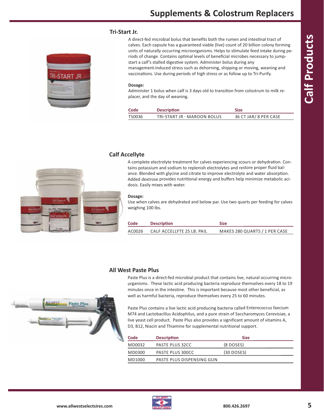#### **Tri-Start Jr.**



A direct-fed microbial bolus that benefits both the rumen and intestinal tract of calves. Each capsule has a guaranteed viable (live) count of 20 billion colony forming units of naturally occurring microorganisms. Helps to stimulate feed intake during periods of change. Contains optimal levels of beneficial microbes necessary to jumpstart a calf's stalled digestive system. Administer bolus during any management-induced stress such as dehorning, shipping or moving, weaning and vaccinations. Use during periods of high stress or as follow up to Tri-Purify.

#### **Dosage:**

Administer 1 bolus when calf is 3 days old to transition from colostrum to milk replacer, and the day of weaning.

| Code   | <b>Description</b>          | <b>Size</b>           |
|--------|-----------------------------|-----------------------|
| TS0036 | TRI-START JR - MAROON BOLUS | 36 CT JAR/ 8 PER CASE |

#### **Calf Accellyte**

A complete electrolyte treatment for calves experiencing scours or dehydration. Contains potassium and sodium to replenish electrolytes and restore proper fluid balance. Blended with glycine and citrate to improve electrolyte and water absorption. Added dextrose provides nutritional energy and buffers help minimize metabolic acidosis. Easily mixes with water.

#### **Dosage:**

Use when calves are dehydrated and below par. Use two quarts per feeding for calves weighing 100 lbs.

| Code   | <b>Description</b>         | <b>Size</b>                   |
|--------|----------------------------|-------------------------------|
| AC0026 | CALF ACCELLYTE 25 LB. PAIL | MAKES 280 QUARTS / 1 PER CASE |

#### **All West Paste Plus**

Paste Plus is a direct-fed microbial product that contains live, natural occurring microorganisms. These lactic acid producing bacteria reproduce themselves every 18 to 19 minutes once in the intestine. This is important because most other beneficial, as well as harmful bacteria, reproduce themselves every 25 to 60 minutes.

Paste Plus contains a live lactic acid producing bacteria called Enterococcus faecium M74 and Lactobacillus Acidophilus, and a pure strain of Saccharomyces Cerevisiae, a live yeast cell product. Paste Plus also provides a significant amount of vitamins A, D3, B12, Niacin and Thiamine for supplemental nutritional support.

| <b>Description</b>        | <b>Size</b>  |
|---------------------------|--------------|
| PASTE PLUS 32CC           | $(8$ DOSES)  |
| PASTE PLUS 300CC          | $(30$ DOSES) |
| PASTE PLUS DISPENSING GUN |              |
|                           |              |



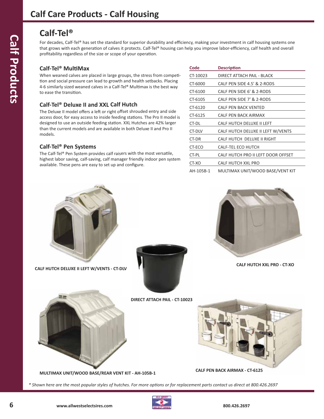#### Calf-Tel<sup>®</sup>

For decades, Calf-Tel® has set the standard for superior durability and efficiency, making your investment in calf housing systems one that grows with each generation of calves it protects. Calf-Tel® housing can help you improve labor-efficiency, calf health and overall profitability regardless of the size or scope of your operation.

#### **Calf-Tel® MultiMax**

When weaned calves are placed in large groups, the stress from competition and social pressure can lead to growth and health setbacks. Placing 4-6 similarly sized weaned calves in a Calf-Tel® Multimax is the best way to ease the transition.

#### **Calf-Tel® Deluxe II and XXL Calf Hutch**

The Deluxe II model offers a left or right offset shrouded entry and side access door, for easy access to inside feeding stations. The Pro II model is designed to use an outside feeding station. XXL Hutches are 42% larger than the current models and are available in both Deluxe II and Pro II models.

#### **Calf-Tel® Pen Systems**

The Calf-Tel® Pen System provides calf raisers with the most versatile, highest labor saving, calf-saving, calf manager friendly indoor pen system available. These pens are easy to set up and configure.

| Code      | <b>Description</b>                 |
|-----------|------------------------------------|
| CT-10023  | DIRECT ATTACH PAIL - BLACK         |
| CT-6000   | CALF PEN SIDE 4.5' & 2-RODS        |
| CT-6100   | CALF PEN SIDE 6' & 2-RODS          |
| CT-6105   | CALE PEN SIDE 7' & 2-RODS          |
| CT-6120   | CALE PEN BACK VENTED               |
| CT-6125   | CALF PEN BACK AIRMAX               |
| CT-DL     | CALE HUTCH DELUXE ILLEFT           |
| CT-DLV    | CALF HUTCH DELUXE II LEFT W/VENTS  |
| CT-DR     | CALF HUTCH DELUXE II RIGHT         |
| CT-ECO    | <b>CALF-TEL ECO HUTCH</b>          |
| CT-PL     | CALF HUTCH PRO II LEFT DOOR OFFSET |
| CT-XO     | CALF HUTCH XXL PRO                 |
| AH-105B-1 | MULTIMAX UNIT/WOOD BASE/VENT KIT   |



**CALF HUTCH DELUXE II LEFT W/VENTS - CT-DLV** 





**CALF HUTCH XXL PRO - CT-XO** 



**CALF PEN BACK AIRMAX - CT-6125** MULTIMAX UNIT/WOOD BASE/REAR VENT KIT - AH-105B-1

**DIRECT ATTACH PAIL - CT-10023** 



*\* Shown here are the most popular styles of hutches. For more options or for replacement parts contact us direct at 800.426.2697*

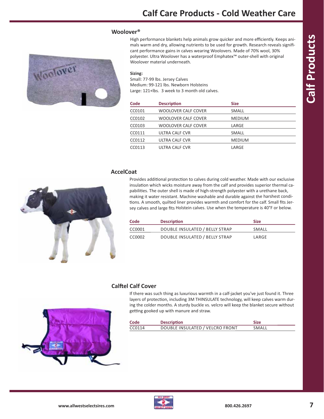#### **Woolover®**



High performance blankets help animals grow quicker and more efficiently. Keeps animals warm and dry, allowing nutrients to be used for growth. Research reveals significant performance gains in calves wearing Woolovers. Made of 70% wool, 30% polyester. Ultra Woolover has a waterproof Emphatex™ outer-shell with original Woolover material underneath.

#### **Sizing:**

Small: 77-99 lbs. Jersey Calves Medium: 99-121 lbs. Newborn Holsteins Large: 121+lbs. 3 week to 3 month old calves.

| Code               | <b>Description</b>  | <b>Size</b>   |  |
|--------------------|---------------------|---------------|--|
| CC0101             | WOOLOVER CALF COVER | SMALL         |  |
| CC0102             | WOOLOVER CALF COVER | <b>MEDIUM</b> |  |
| CC0103             | WOOLOVER CALF COVER | LARGE         |  |
| CC0111             | ULTRA CALF CVR      | SMALL         |  |
| CC0112             | ULTRA CALF CVR      | <b>MEDIUM</b> |  |
| CC <sub>0113</sub> | ULTRA CALF CVR      | LARGE         |  |
|                    |                     |               |  |

#### **AccelCoat**



Provides additional protection to calves during cold weather. Made with our exclusive insulation which wicks moisture away from the calf and provides superior thermal capabilities. The outer shell is made of high-strength polyester with a urethane back, making it water resistant. Machine washable and durable against the harshest conditions. A smooth, quilted liner provides warmth and comfort for the calf. Small fits Jersey calves and large fits Holstein calves. Use when the temperature is 40°F or below.

| Code   | <b>Description</b>             | <b>Size</b> |
|--------|--------------------------------|-------------|
| CC0001 | DOUBLE INSULATED / BELLY STRAP | SMALL       |
| CC0002 | DOUBLE INSULATED / BELLY STRAP | LARGE       |

#### **Calftel Calf Cover**

If there was such thing as luxurious warmth in a calf-jacket you've just found it. Three layers of protection, including 3M THINSULATE technology, will keep calves warm during the colder months. A sturdy buckle vs. velcro will keep the blanket secure without getting gooked up with manure and straw.

| Code   | <b>Description</b>              | <b>Size</b> |
|--------|---------------------------------|-------------|
| CC0114 | DOUBLE INSULATED / VELCRO FRONT | SMALL       |



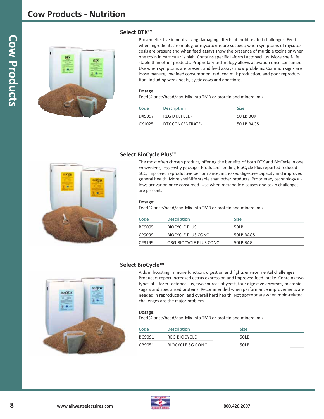#### **Cow Products - Nutrition**



#### **Select DTX™**

Proven effective in neutralizing damaging effects of mold related challenges. Feed when ingredients are moldy, or mycotoxins are suspect; when symptoms of mycotoxicosis are present and when feed assays show the presence of multiple toxins or when one toxin in particular is high. Contains specific L-form Lactobacillus. More shelf-life stable than other products. Proprietary technology allows activation once consumed. Use when symptoms are present and feed assays show problems. Common signs are loose manure, low feed consumption, reduced milk production, and poor reproduction, including weak heats, cystic cows and abortions.

#### **Dosage**:

Feed ½ once/head/day. Mix into TMR or protein and mineral mix.

| Code   | <b>Description</b> | <b>Size</b> |
|--------|--------------------|-------------|
| DX9097 | RFG DTX FFFD-      | 50 LB BOX   |
| CX1025 | DTX CONCENTRATE-   | 50 LB BAGS  |



#### **Select BioCycle Plus™**

The most often chosen product, offering the benefits of both DTX and BioCycle in one convenient, less costly package. Producers feeding BioCycle Plus reported reduced SCC, improved reproductive performance, increased digestive capacity and improved general health. More shelf-life stable than other products. Proprietary technology allows activation once consumed. Use when metabolic diseases and toxin challenges are present.

#### **Dosage:**

Feed ½ once/head/day. Mix into TMR or protein and mineral mix.

| Code   | <b>Description</b>     | <b>Size</b> |
|--------|------------------------|-------------|
| BC9095 | <b>BIOCYCLE PLUS</b>   | 50LB        |
| CP9099 | BIOCYCLE PLUS CONC     | 50LB BAGS   |
| CP9199 | ORG-BIOCYCLE PLUS CONC | 50LB BAG    |



#### **Select BioCycle™**

Aids in boosting immune function, digestion and fights environmental challenges. Producers report increased estrus expression and improved feed intake. Contains two types of L-form Lactobacillus, two sources of yeast, four digestive enzymes, microbial sugars and specialized proteins. Recommended when performance improvements are needed in reproduction, and overall herd health. Not appropriate when mold-related challenges are the major problem.

#### **Dosage:**

Feed ½ once/head/day. Mix into TMR or protein and mineral mix.

| Code   | <b>Description</b> | <b>Size</b> |
|--------|--------------------|-------------|
| BC9091 | REG BIOCYCLE       | 50LB        |
| CB9051 | BIOCYCLE 5G CONC   | 50LB        |

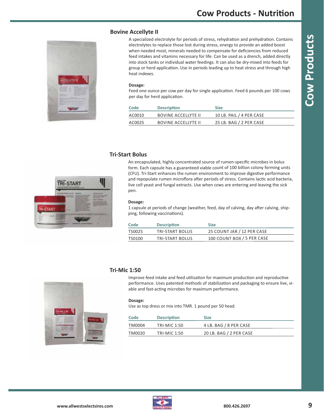#### **Bovine Accellyte II**

A specialized electrolyte for periods of stress, rehydration and prehydration. Contains electrolytes to replace those lost during stress, energy to provide an added boost when needed most, minerals needed to compensate for deficiencies from reduced feed intakes and vitamins necessary for life. Can be used as a drench, added directly into stock tanks or individual water feedings. It can also be dry-mixed into feeds for group or herd application. Use in periods leading up to heat stress and through high heat indexes.

#### **Dosage:**

Feed one ounce per cow per day for single application. Feed 6 pounds per 100 cows per day for herd application.

| Code   | <b>Description</b>         | <b>Size</b>              |
|--------|----------------------------|--------------------------|
| AC0010 | <b>BOVINE ACCELLYTE II</b> | 10 LB. PAIL / 4 PER CASE |
| AC0025 | BOVINE ACCELIYTE II        | 25 LB. BAG / 2 PER CASE  |

#### **Tri-Start Bolus**

An encapsulated, highly concentrated source of rumen-specific microbes in bolus form. Each capsule has a guaranteed viable count of 100 billion colony forming units (CFU). Tri-Start enhances the rumen environment to improve digestive performance and repopulate rumen microflora after periods of stress. Contains lactic acid bacteria, live cell yeast and fungal extracts. Use when cows are entering and leaving the sick pen.

#### **Dosage:**

1 capsule at periods of change (weather, feed, day of calving, day after calving, shipping, following vaccinations).

| Code   | <b>Description</b> | <b>Size</b>                |
|--------|--------------------|----------------------------|
| TS0025 | TRI-START BOLUS    | 25 COUNT JAR / 12 PER CASE |
| TS0100 | TRI-START BOLUS    | 100 COUNT BOX / 5 PER CASE |



#### **Tri-Mic 1:50**

Improve feed intake and feed utilization for maximum production and reproductive performance. Uses patented methods of stabilization and packaging to ensure live, viable and fast-acting microbes for maximum performance.

#### **Dosage:**

Use as top dress or mix into TMR. 1 pound per 50 head.

| Code   | <b>Description</b> | <b>Size</b>             |
|--------|--------------------|-------------------------|
| TM0004 | TRI-MIC 1:50       | 4 LB. BAG / 8 PER CASE  |
| TM0020 | TRI-MIC 1:50       | 20 LB. BAG / 2 PER CASE |



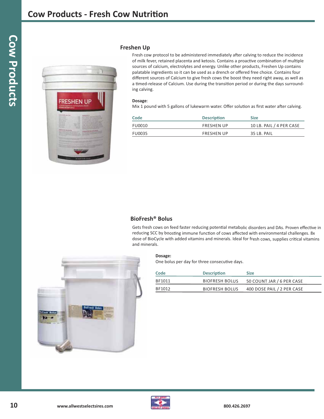

#### **Freshen Up**

Fresh cow protocol to be administered immediately after calving to reduce the incidence of milk fever, retained placenta and ketosis. Contains a proactive combination of multiple sources of calcium, electrolytes and energy. Unlike other products, Freshen Up contains palatable ingredients so it can be used as a drench or offered free choice. Contains four different sources of Calcium to give fresh cows the boost they need right away, as well as a timed-release of Calcium. Use during the transition period or during the days surrounding calving.

#### **Dosage**:

Mix 1 pound with 5 gallons of lukewarm water. Offer solution as first water after calving.

| Code   | <b>Description</b> | <b>Size</b>              |
|--------|--------------------|--------------------------|
| FU0010 | <b>FRESHEN UP</b>  | 10 LB. PAIL / 4 PER CASE |
| FU0035 | <b>FRESHEN UP</b>  | 35 LB. PAIL              |

#### **BioFresh® Bolus**

Gets fresh cows on feed faster reducing potential metabolic disorders and DAs. Proven effective in reducing SCC by boosting immune function of cows affected with environmental challenges. 8x dose of BioCycle with added vitamins and minerals. Ideal for fresh cows, supplies critical vitamins and minerals.



One bolus per day for three consecutive days.

| Code   | <b>Description</b>    | <b>Size</b>                |
|--------|-----------------------|----------------------------|
| BF1011 | <b>BIOFRESH BOLUS</b> | 50 COUNT JAR / 6 PER CASE  |
| BF1012 | <b>BIOFRESH BOLUS</b> | 400 DOSE PAIL / 2 PER CASE |



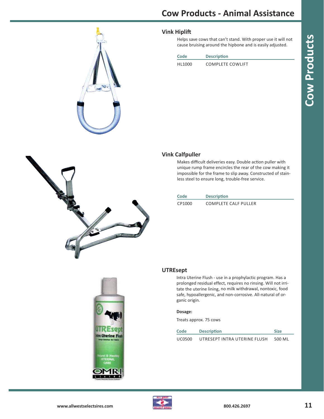

#### **Vink Hiplift**

Helps save cows that can't stand. With proper use it will not cause bruising around the hipbone and is easily adjusted.

| Code    | <b>Description</b>      |
|---------|-------------------------|
| HI 1000 | <b>COMPLETE COWLIFT</b> |



# ドイエ kira <mark>Oterine Flas</mark>h

#### **Vink Calfpuller**

Makes difficult deliveries easy. Double action puller with unique rump frame encircles the rear of the cow making it impossible for the frame to slip away. Constructed of stainless steel to ensure long, trouble-free service.

| Code   | <b>Description</b>   |
|--------|----------------------|
| CP1000 | COMPLETE CALE PULLER |



Intra Uterine Flush - use in a prophylactic program. Has a prolonged residual effect, requires no rinsing. Will not irritate the uterine lining, no milk withdrawal, nontoxic, food

safe, hypoallergenic, and non-corrosive. All-natural of organic origin.

#### **Dosage:**

Treats approx. 75 cows

| Code   | <b>Description</b>           | <b>Size</b> |
|--------|------------------------------|-------------|
| UC0500 | UTRESEPT INTRA UTERINE FLUSH | 500 ML      |

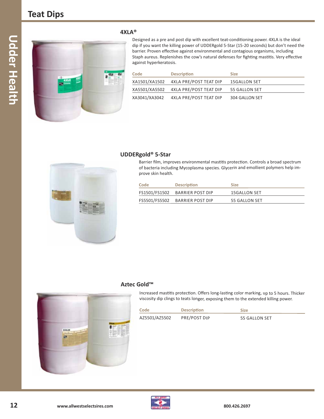

#### **4XLA®**

Designed as a pre and post dip with excellent teat-conditioning power. 4XLA is the ideal dip if you want the killing power of UDDERgold 5-Star (15-20 seconds) but don't need the barrier. Proven effective against environmental and contagious organisms, including Staph aureus. Replenishes the cow's natural defenses for fighting mastitis. Very effective against hyperkeratosis.

| Code | <b>Description</b>                   | <b>Size</b>    |
|------|--------------------------------------|----------------|
|      | XA1501/XA1502 4XLA PRE/POST TEAT DIP | 15GALLON SET   |
|      | XA5501/XA5502 4XLA PRE/POST TEAT DIP | 55 GALLON SET  |
|      | XA3041/XA3042 4XLA PRE/POST TEAT DIP | 304 GALLON SET |



#### **UDDERgold® 5-Star**

Barrier film, improves environmental mastitis protection. Controls a broad spectrum of bacteria including Mycoplasma species. Glycerin and emollient polymers help improve skin health.

| Code | <b>Description</b>             | <b>Size</b>   |
|------|--------------------------------|---------------|
|      | FS1501/FS1502 BARRIER POST DIP | 15GALLON SET  |
|      | FS5501/FS5502 BARRIER POST DIP | 55 GALLON SET |

#### **Aztec Gold™**



Increased mastitis protection. Offers long-lasting color marking, up to 5 hours. Thicker viscosity dip clings to teats longer, exposing them to the extended killing power.

| Code          | <b>Description</b>  | <b>Size</b>   |
|---------------|---------------------|---------------|
| AZ5501/AZ5502 | <b>PRE/POST DIP</b> | 55 GALLON SET |

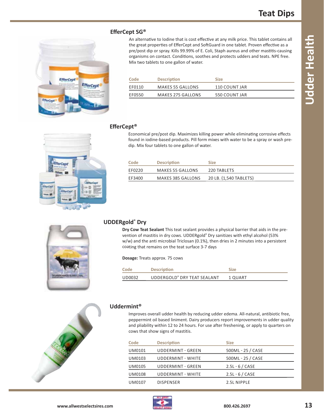**EfferCep** EfferCept An alternative to Iodine that is cost effective at any milk price. This tablet contains all the great properties of EfferCept and SoftGuard in one tablet. Proven effective as a pre/post dip or spray. Kills 99.99% of E. Coli, Staph aureus and other mastitis-causing organisms on contact. Conditions, soothes and protects udders and teats. NPE free. Mix two tablets to one gallon of water.

| Code   | <b>Description</b> | <b>Size</b>   |
|--------|--------------------|---------------|
| FF0110 | MAKES 55 GALLONS   | 110 COUNT JAR |
| EF0550 | MAKES 275 GALLONS  | 550 COUNT JAR |

#### **EfferCept®**

Economical pre/post dip. Maximizes killing power while eliminating corrosive effects found in iodine-based products. Pill form mixes with water to be a spray or wash predip. Mix four tablets to one gallon of water.

| Code   | <b>Description</b>      | Size                   |
|--------|-------------------------|------------------------|
| FF0220 | <b>MAKES 55 GALLONS</b> | 220 TABLETS            |
| EF3400 | MAKES 385 GALLONS       | 20 LB. (1,540 TABLETS) |



#### **UDDERgold® Dry**

**Dry Cow Teat Sealant** This teat sealant provides a physical barrier that aids in the prevention of mastitis in dry cows. UDDERgold**®** Dry sanitizes with ethyl alcohol (53% w/w) and the anti microbial Triclosan (0.1%), then dries in 2 minutes into a persistent coating that remains on the teat surface 3-7 days

**Dosage:** Treats approx. 75 cows

| Code   | <b>Description</b>          | Size    |
|--------|-----------------------------|---------|
| UD0032 | UDDERGOLD® DRY TEAT SEALANT | 1 QUART |



#### **Uddermint®**

Improves overall udder health by reducing udder edema. All-natural, antibiotic free, peppermint oil based liniment. Dairy producers report improvements in udder quality and pliability within 12 to 24 hours. For use after freshening, or apply to quarters on cows that show signs of mastitis.

| Code          | <b>Description</b>       | <b>Size</b>       |
|---------------|--------------------------|-------------------|
| UM0101        | <b>UDDERMINT - GREEN</b> | 500ML - 25 / CASE |
| UM0103        | UDDERMINT - WHITE        | 500ML - 25 / CASE |
| <b>UM0105</b> | <b>UDDERMINT - GREEN</b> | $2.5L - 6 / CASE$ |
| <b>UM0108</b> | <b>UDDERMINT - WHITE</b> | $2.5L - 6 / CASE$ |
| <b>UM0107</b> | <b>DISPENSER</b>         | 2.5L NIPPLE       |

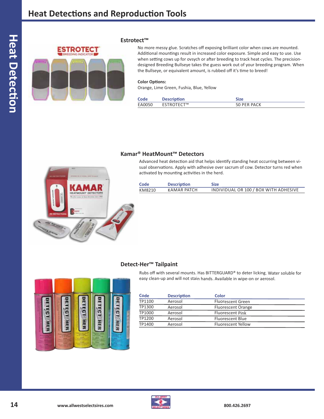

#### **Estrotect™**

No more messy glue. Scratches off exposing brilliant color when cows are mounted. Additional mountings result in increased color exposure. Simple and easy to use. Use when setting cows up for ovsych or after breeding to track heat cycles. The precisiondesigned Breeding Bullseye takes the guess work out of your breeding program. When the Bullseye, or equivalent amount, is rubbed off it's time to breed!

#### **Color Options:**

Orange, Lime Green, Fushia, Blue, Yellow

| Code   | <b>Description</b> | <b>Size</b> |
|--------|--------------------|-------------|
| EA0050 | <b>ESTROTECT™</b>  | 50 PER PACK |

#### **Kamar® HeatMount™ Detectors**

Advanced heat detection aid that helps identify standing heat occurring between visual observations. Apply with adhesive over sacrum of cow. Detector turns red when activated by mounting activities in the herd.

| Code   | <b>Description</b> | <b>Size</b>                           |
|--------|--------------------|---------------------------------------|
| KM8210 | KAMAR PATCH        | INDIVIDUAL OR 100 / BOX WITH ADHESIVE |



#### **Detect-Her™ Tailpaint**

Rubs off with several mounts. Has BITTERGUARD® to deter licking. Water soluble for easy clean-up and will not stain hands. Available in wipe-on or aerosol.



| Code   | <b>Description</b> | Color                     |  |
|--------|--------------------|---------------------------|--|
| TP1100 | Aerosol            | Fluorescent Green         |  |
| TP1300 | Aerosol            | <b>Fluorescent Orange</b> |  |
| TP1000 | Aerosol            | <b>Fluorescent Pink</b>   |  |
| TP1200 | Aerosol            | <b>Fluorescent Blue</b>   |  |
| TP1400 | Aerosol            | Fluorescent Yellow        |  |

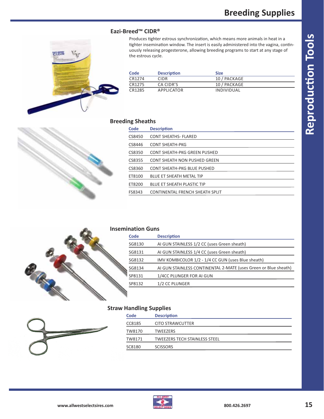**Reproduction Tools**

**Reproduction Tools** 

#### **Eazi-Breed™ CIDR®**

쌈쌈

Produces tighter estrous synchronization, which means more animals in heat in a tighter insemination window. The insert is easily administered into the vagina, continuously releasing progesterone, allowing breeding programs to start at any stage of the estrous cycle.

| Code   | <b>Description</b> | Size         |
|--------|--------------------|--------------|
| CR1274 | CIDR.              | 10 / PACKAGE |
| CR1275 | CA CIDR'S          | 10 / PACKAGE |
| CR1285 | <b>APPLICATOR</b>  | INDIVIDUAL   |

#### **Breeding Sheaths**

| Code   | <b>Description</b>                |
|--------|-----------------------------------|
| CS8450 | <b>CONT SHEATHS- FLARED</b>       |
| CS8446 | <b>CONT SHEATH-PKG</b>            |
| CS8350 | CONT SHEATH-PKG GREEN PUSHED      |
| CS8355 | CONT SHEATH NON PUSHED GREEN      |
| CS8360 | CONT SHEATH-PKG BLUE PUSHED       |
| ET8100 | <b>BLUE ET SHEATH METAL TIP</b>   |
| ET8200 | <b>BLUE ET SHEATH PLASTIC TIP</b> |
| FS8343 | CONTINENTAL FRENCH SHEATH SPLIT   |
|        |                                   |





#### **Insemination Guns**

| Code   | <b>Description</b>                                              |
|--------|-----------------------------------------------------------------|
| SG8130 | AI GUN STAINLESS 1/2 CC (uses Green sheath)                     |
| SG8131 | AI GUN STAINLESS 1/4 CC (uses Green sheath)                     |
| SG8132 | IMV KOMBICOLOR 1/2 - 1/4 CC GUN (uses Blue sheath)              |
| SG8134 | AI GUN STAINLESS CONTINENTAL 2-MATE (uses Green or Blue sheath) |
| SP8131 | 1/4CC PLUNGER FOR AI GUN                                        |
| SP8132 | 1/2 CC PLUNGER                                                  |

#### **Straw Handling Supplies**



|        | . .                                  |
|--------|--------------------------------------|
| Code   | <b>Description</b>                   |
| CC8185 | <b>CITO STRAWCUTTER</b>              |
| TW8170 | <b>TWEEZERS</b>                      |
| TW8171 | <b>TWEEZERS TECH STAINLESS STEEL</b> |
| SC8180 | <b>SCISSORS</b>                      |
|        |                                      |

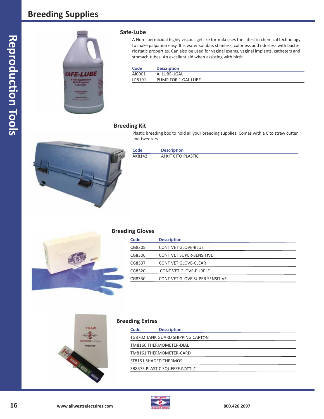#### **Breeding Supplies**



#### Safe-Lube

A Non-spermicidal highly viscous gel like formula uses the latest in chemical technology to make palpation easy. It is water soluble, stainless, colorless and odorless with bacteriostatic properties. Can also be used for vaginal exams, vaginal implants, catheters and stomach tubes. An excellent aid when assisting with birth.

| Code   | <b>Description</b>  |
|--------|---------------------|
| AI0001 | AI LUBE-1GAL        |
| LP8191 | PUMP FOR 1 GAL LUBE |

#### **Breeding Kit**

Plastic breeding box to hold all your breeding supplies. Comes with a Cito straw cutter and tweezers.



| Code   | <b>Description</b>  |
|--------|---------------------|
| AK8142 | AI KIT CITO PLASTIC |



#### **Breeding Gloves**

| <b>Description</b>                    |
|---------------------------------------|
| <b>CONT VET GLOVE-BLUE</b>            |
| <b>CONT VET SUPER-SENSITIVE</b>       |
| CONT VET GLOVE-CLEAR                  |
| <b>CONT VET GLOVE-PURPLE</b>          |
| <b>CONT VET GLOVE SUPER SENSITIVE</b> |
|                                       |



#### **Breeding Extras**

| Code | <b>Description</b>                   |
|------|--------------------------------------|
|      | TG8702 TANK GUARD SHIPPING CARTON    |
|      | TM8160 THERMOMETER-DIAL              |
|      | TM8161 THERMOMETER-CARD              |
|      | ST8151 SHADED THERMOS                |
|      | <b>SB8575 PLASTIC SQUEEZE BOTTLE</b> |

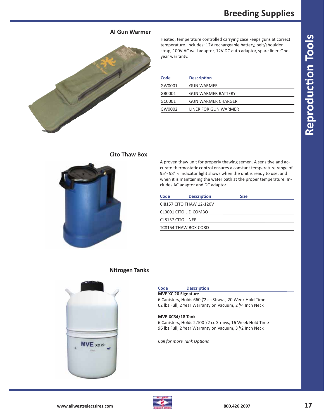**Reproduction Tools**

**Reproduction Tools** 

#### **AI Gun Warmer**



Heated, temperature controlled carrying case keeps guns at correct temperature. Includes: 12V rechargeable battery, belt/shoulder strap, 100V AC wall adaptor, 12V DC auto adaptor, spare liner. Oneyear warranty.

| Code   | <b>Description</b>        |
|--------|---------------------------|
| GW0001 | <b>GUN WARMER</b>         |
| GB0001 | <b>GUN WARMER BATTERY</b> |
| GC0001 | <b>GUN WARMER CHARGER</b> |
| GW0002 | LINER FOR GUN WARMER      |
|        |                           |

#### **Cito Thaw Box**



#### A proven thaw unit for properly thawing semen. A sensitive and accurate thermostatic control ensures a constant temperature range of 95° - 98° F. Indicator light shows when the unit is ready to use, and when it is maintaining the water bath at the proper temperature. Includes AC adaptor and DC adaptor.

| Code              | <b>Description</b>       | <b>Size</b> |  |
|-------------------|--------------------------|-------------|--|
|                   | CI8157 CITO THAW 12-120V |             |  |
|                   | CL0001 CITO LID COMBO    |             |  |
| CL8157 CITO LINER |                          |             |  |
|                   | TC8154 THAW BOX CORD     |             |  |
|                   |                          |             |  |

#### **Nitrogen Tanks**



#### **Code Description**

**MVE XC 20 Signature** 6 Canisters, Holds 660 1/2 cc Straws, 20 Week Hold Time 62 lbs Full, 2 Year Warranty on Vacuum, 2 <sup> $\gamma$ </sup>4 Inch Neck

#### **MVE-XC34/18 Tank**

6 Canisters, Holds 2,100 <sup>1</sup>/2 cc Straws, 16 Week Hold Time 96 lbs Full, 2 Year Warranty on Vacuum, 3  $\frac{1}{2}$  Inch Neck

*Call for more Tank Options*

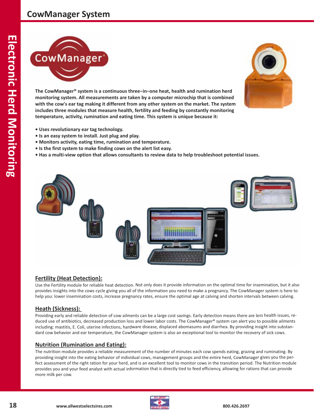#### **CowManager System**



**The CowManager® system is a continuous three−in−one heat, health and rumination herd monitoring system. All measurements are taken by a computer microchip that is combined with the cow's ear tag making it different from any other system on the market. The system includes three modules that measure health, fertility and feeding by constantly monitoring temperature, activity, rumination and eating time. This system is unique because it:** 



- **Uses revolutionary ear tag technology.**
- **Is an easy system to install. Just plug and play.**
- **Monitors activity, eating time, rumination and temperature.**
- **Is the first system to make finding cows on the alert list easy.**
- Has a multi-view option that allows consultants to review data to help troubleshoot potential issues.



#### **Fertility (Heat Detection):**

Use the Fertility module for reliable heat detection. Not only does it provide information on the optimal time for insemination, but it also provides insights into the cows cycle giving you all of the information you need to make a pregnancy. The CowManager system is here to help you: lower insemination costs, increase pregnancy rates, ensure the optimal age at calving and shorten intervals between calving.

#### **Heath (Sickness):**

Providing early and reliable detection of cow ailments can be a large cost savings. Early detection means there are less health issues, reduced use of antibiotics, decreased production loss and lower labor costs. The CowManager® system can alert you to possible ailments including: mastitis, E. Coli, uterine infections, hardware disease, displaced abomasums and diarrhea. By providing insight into substandard cow behavior and ear temperature, the CowManager system is also an exceptional tool to monitor the recovery of sick cows.

#### **Nutrition (Rumination and Eating):**

The nutrition module provides a reliable measurement of the number of minutes each cow spends eating, grazing and ruminating. By providing insight into the eating behavior of individual cows, management groups and the entire herd, CowManager gives you the perfect assessment of the right ration for your herd, and is an excellent tool to monitor cows in the transition period. The Nutrition module provides you and your feed analyst with actual information that is directly tied to feed efficiency, allowing for rations that can provide more milk per cow.

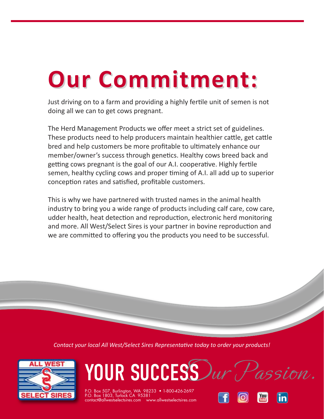## **Our Commitment: Our Commitment:**

Just driving on to a farm and providing a highly fertile unit of semen is not doing all we can to get cows pregnant.

The Herd Management Products we offer meet a strict set of guidelines. These products need to help producers maintain healthier cattle, get cattle bred and help customers be more profitable to ultimately enhance our member/owner's success through genetics. Healthy cows breed back and getting cows pregnant is the goal of our A.I. cooperative. Highly fertile semen, healthy cycling cows and proper timing of A.I. all add up to superior conception rates and satisfied, profitable customers.

This is why we have partnered with trusted names in the animal health industry to bring you a wide range of products including calf care, cow care, udder health, heat detection and reproduction, electronic herd monitoring and more. All West/Select Sires is your partner in bovine reproduction and we are committed to offering you the products you need to be successful.

*Contact your local All West/Select Sires Representative today to order your products!* 





P.O. Box 507, Burlington, WA 98233 • 1-800-426-2697<br>P.O. Box 1803, Turlock CA 95381  $\text{contact@allowes}$  contact@allwestselectsires.com ww

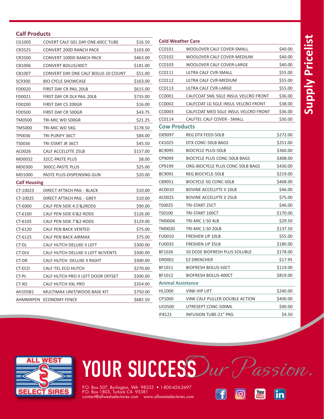# Supply Pricelist  **Supply Pricelist**

#### **Calf Products**

| CG1005              | COVERT CALF GEL DAY ONE-60CC TUBE   | \$16.50  | <b>Cold Weather Care</b> |                                      |          |
|---------------------|-------------------------------------|----------|--------------------------|--------------------------------------|----------|
| CR3525              | CONVERT 200D RANCH PACK             | \$103.00 | CC0101                   | WOOLOVER CALF COVER-SMALL            | \$40.00  |
| CR3500              | CONVERT 1000D RANCH PACK            | \$463.00 | CC0102                   | WOOLOVER CALF COVER-MEDIUM           | \$40.00  |
| CB1006              | CONVERT BOLUS/40CT                  | \$181.00 | CC0103                   | WOOLOVER CALF COVER-LARGE            | \$40.00  |
| CB1007              | CONVERT DAY ONE CALF BOLUS 10 COUNT | \$51.00  | CC0111                   | ULTRA CALF CVR-SMALL                 | \$55.00  |
| SC9300              | <b>BIO CYCLE SHOWCASE</b>           | \$163.00 | CC0112                   | ULTRA CALF CVR-MEDIUM                | \$55.00  |
| FD0020              | FIRST DAY CR PAIL 20LB              | \$615.00 | CC0113                   | ULTRA CALF CVR-LARGE                 | \$55.00  |
| FD0021              | FIRST DAY CR DLX PAIL 20LB          | \$735.00 | CC0001                   | CALFCOAT SML SGLE INSUL VELCRO FRONT | \$36.00  |
| FD0200              | FIRST DAY CS 200GR                  | \$16.00  | CC0002                   | CALFCOAT LG SGLE INSUL VELCRO FRONT  | \$38.00  |
| FD0500              | FIRST DAY CR 500GR                  | \$43.75  | CC0003                   | CALFCOAT MED SGLE INSUL VELCRO FRONT | \$36.00  |
| TM0500              | TRI-MIC WD 500GR                    | \$21.25  | CC0114                   | CALFTEL CALF COVER - SMALL           | \$30.00  |
| TM5000              | TRI-MIC WD 5KG                      | \$178.50 | <b>Cow Products</b>      |                                      |          |
| TP0036              | TRI-PURIFY 36CT                     | \$84.00  | DX9097                   | REG DTX FEED-50LB                    | \$272.00 |
| TS0036              | TRI-START JR 36CT                   | \$45.50  | CX1025                   | DTX CONC-50LB BAGS                   | \$251.00 |
| AC0026              | CALF ACCELLYTE 25LB                 | \$157.00 | BC9095                   | <b>BIOCYCLE PLUS-50LB</b>            | \$360.00 |
| MD0032              | 32CC-PASTE PLUS                     | \$8.00   | CP9099                   | BIOCYCLE PLUS CONC-50LB BAGS         | \$408.00 |
| MD0300              | 300CC-PASTE PLUS                    | \$25.00  | CP9199                   | ORG-BIOCYCLE PLUS CONC-50LB BAGS     | \$430.00 |
| MD1000              | PASTE PLUS-DISPENSING GUN           | \$20.00  | BC9091                   | REG BIOCYCLE-50LB                    | \$219.00 |
| <b>Calf Housing</b> |                                     |          | CB9051                   | BIOCYCLE 5G CONC-50LB                | \$408.00 |
| CT-10023            | DIRECT ATTACH PAIL - BLACK          | \$10.00  | AC0010                   | <b>BOVINE ACCELLYTE II 10LB</b>      | \$46.00  |
| CT-10025            | DIRECT ATTACH PAIL - GREY           | \$10.00  | AC0025                   | <b>BOVINE ACCELLYTE II 25LB</b>      | \$75.00  |
| CT-6000             | CALF PEN SIDE 4.5'&2RODS            | \$90.00  | TS0025                   | TRI-START 25CT                       | \$46.00  |
| CT-6100             | CALF PEN SIDE 6'&2-RODS             | \$126.00 | TS0100                   | TRI-START 100CT                      | \$170.00 |
| CT-6105             | CALF PEN SIDE 7'&2-RODS             | \$129.00 | <b>TM0004</b>            | <b>TRI-MIC 1:50 4LB</b>              | \$29.50  |
| CT-6120             | <b>CALF PEN BACK VENTED</b>         | \$75.00  | TM0020                   | TRI-MIC 1:50 20LB                    | \$137.50 |
| CT-6125             | CALF PEN BACK AIRMAX                | \$75.00  | FU0010                   | FRESHEN UP 10LB                      | \$55.00  |
| CT-DL               | CALF HUTCH DELUXE II LEFT           | \$300.00 | <b>FU0035</b>            | FRESHEN UP 35LB                      | \$180.00 |
| CT-DLV              | CALF HUTCH DELUXE II LEFT W/VENTS   | \$300.00 | BF1026                   | 50 DOSE BIOFRESH PLUS SOLUBLE        | \$178.00 |
| CT-DR               | CALF HUTCH DELUXE II RIGHT          | \$300.00 | DR0001                   | <b>EZ DRENCHER</b>                   | \$17.95  |
| CT-ECO              | CALF-TEL ECO HUTCH                  | \$270.00 | BF1011                   | <b>BIOFRESH BOLUS-50CT</b>           | \$119.00 |
| CT-PL               | CALF HUTCH PRO II LEFT DOOR OFFSET  | \$300.00 | BF1012                   | <b>BIOFRESH BOLUS-400CT</b>          | \$819.00 |
| CT-XO               | CALF HUTCH XXL PRO                  | \$354.00 | <b>Animal Assistance</b> |                                      |          |
| AH105B1             | MULTIMAX UNIT/WOOD BASE KIT         | \$750.00 | HL1000                   | <b>VINK HIP LIFT</b>                 | \$240.00 |
|                     | AHMMXPEN ECONOMY FENCE              | \$682.50 | CP1000                   | VINK CALF PULLER-DOUBLE ACTION       | \$400.00 |
|                     |                                     |          |                          |                                      |          |

#### OOLOVER CALF COVER-SMALL \$40.00 OOLOVER CALF COVER-MEDIUM \$40.00 OOLOVER CALF COVER-LARGE \$40.00 LTRA CALF CVR-SMALL \$55.00 LTRA CALF CVR-MEDIUM \$55.00 LTRA CALF CVR-LARGE \$55.00 ALFCOAT SML SGLE INSUL VELCRO FRONT \$36.00 ALFCOAT LG SGLE INSUL VELCRO FRONT \$38.00

| CC0114                   | CALFTEL CALF COVER - SMALL          | \$30.00  |
|--------------------------|-------------------------------------|----------|
| <b>Cow Products</b>      |                                     |          |
| DX9097                   | <b>REG DTX FEED-50LB</b>            | \$272.00 |
| CX1025                   | DTX CONC-50LB BAGS                  | \$251.00 |
| BC9095                   | <b>BIOCYCLE PLUS-50LB</b>           | \$360.00 |
| CP9099                   | <b>BIOCYCLE PLUS CONC-50LB BAGS</b> | \$408.00 |
| CP9199                   | ORG-BIOCYCLE PLUS CONC-50LB BAGS    | \$430.00 |
| BC9091                   | <b>REG BIOCYCLE-50LB</b>            | \$219.00 |
| CB9051                   | <b>BIOCYCLE 5G CONC-50LB</b>        | \$408.00 |
| AC0010                   | <b>BOVINE ACCELLYTE II 10LB</b>     | \$46.00  |
| AC0025                   | <b>BOVINE ACCELLYTE II 25LB</b>     | \$75.00  |
| TS0025                   | TRI-START 25CT                      | \$46.00  |
| TS0100                   | TRI-START 100CT                     | \$170.00 |
| TM0004                   | <b>TRI-MIC 1:50 4LB</b>             | \$29.50  |
| TM0020                   | <b>TRI-MIC 1:50 20LB</b>            | \$137.50 |
| <b>FU0010</b>            | <b>FRESHEN UP 10LB</b>              | \$55.00  |
| <b>FU0035</b>            | <b>FRESHEN UP 35LB</b>              | \$180.00 |
| BF1026                   | 50 DOSE BIOFRESH PLUS SOLUBLE       | \$178.00 |
| DR0001                   | <b>EZ DRENCHER</b>                  | \$17.95  |
| BF1011                   | <b>BIOFRESH BOLUS-50CT</b>          | \$119.00 |
| BF1012                   | <b>BIOFRESH BOLUS-400CT</b>         | \$819.00 |
| <b>Animal Assistance</b> |                                     |          |
| HL1000                   | <b>VINK HIP LIFT</b>                | \$240.00 |
| CP1000                   | VINK CALF PULLER-DOUBLE ACTION      | \$400.00 |
| <b>UC0500</b>            | UTRESEPT CONC-500ML                 | \$90.00  |
| IF8121                   | <b>INFUSION TUBE-21" PKG</b>        | \$4.50   |
|                          |                                     |          |



# YOUR SUCCESS Dur Passion.

P.O. Box 507, Burlington, WA 98233 • 1-800-426-2697<br>P.O. Box 1803, Turlock CA 95381 contact@allwestselectsires.com www.allwestselectsires.com